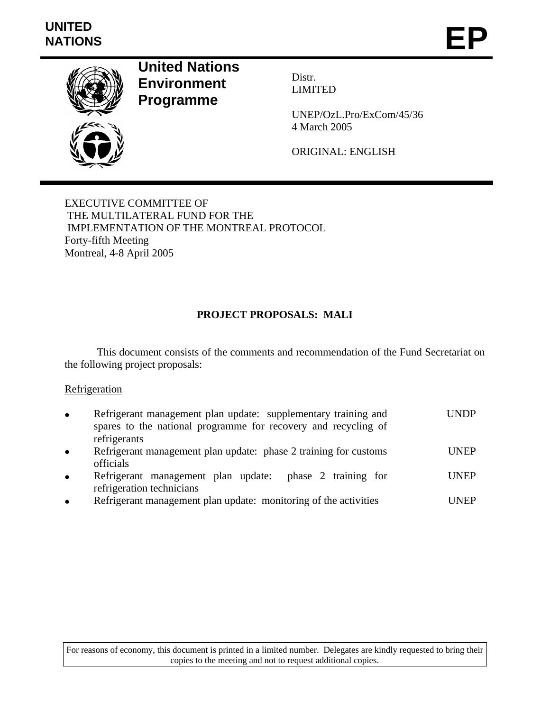

**United Nations Environment**



**Programme** 

Distr. LIMITED

UNEP/OzL.Pro/ExCom/45/36 4 March 2005

ORIGINAL: ENGLISH

EXECUTIVE COMMITTEE OF THE MULTILATERAL FUND FOR THE IMPLEMENTATION OF THE MONTREAL PROTOCOL Forty-fifth Meeting Montreal, 4-8 April 2005

# **PROJECT PROPOSALS: MALI**

 This document consists of the comments and recommendation of the Fund Secretariat on the following project proposals:

## **Refrigeration**

| $\bullet$ | Refrigerant management plan update: supplementary training and<br>spares to the national programme for recovery and recycling of<br>refrigerants | UNDP        |
|-----------|--------------------------------------------------------------------------------------------------------------------------------------------------|-------------|
| $\bullet$ | Refrigerant management plan update: phase 2 training for customs<br>officials                                                                    | <b>UNEP</b> |
| $\bullet$ | Refrigerant management plan update: phase 2 training for<br>refrigeration technicians                                                            | <b>UNEP</b> |
| $\bullet$ | Refrigerant management plan update: monitoring of the activities                                                                                 | UNEP        |

For reasons of economy, this document is printed in a limited number. Delegates are kindly requested to bring their copies to the meeting and not to request additional copies.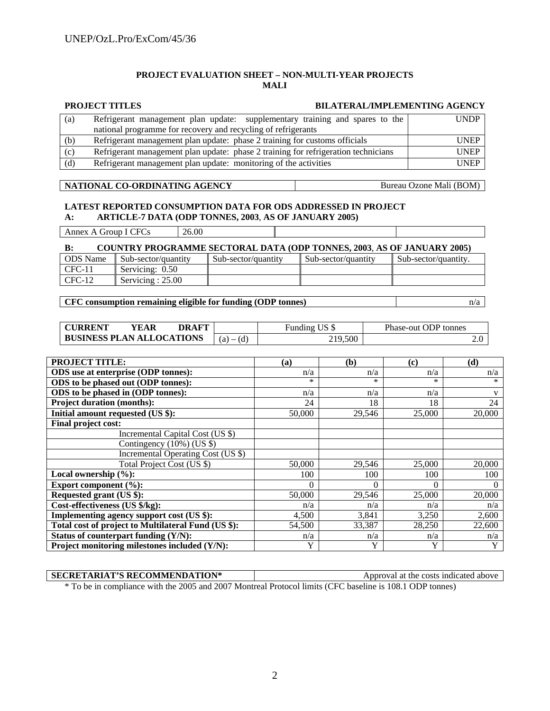#### **PROJECT EVALUATION SHEET – NON-MULTI-YEAR PROJECTS MALI**

|     | <b>PROJECT TITLES</b>                                                              | <b>BILATERAL/IMPLEMENTING AGENCY</b> |  |  |
|-----|------------------------------------------------------------------------------------|--------------------------------------|--|--|
| (a) | Refrigerant management plan update: supplementary training and spares to the       | <b>UNDP</b>                          |  |  |
|     | national programme for recovery and recycling of refrigerants                      |                                      |  |  |
| (b) | Refrigerant management plan update: phase 2 training for customs officials         | <b>UNEP</b>                          |  |  |
| (c) | Refrigerant management plan update: phase 2 training for refrigeration technicians | <b>UNEP</b>                          |  |  |
| (d) | Refrigerant management plan update: monitoring of the activities                   | <b>UNEP</b>                          |  |  |

#### **NATIONAL CO-ORDINATING AGENCY** Bureau Ozone Mali (BOM)

CFC-12 Servicing : 25.00

#### **LATEST REPORTED CONSUMPTION DATA FOR ODS ADDRESSED IN PROJECT A: ARTICLE-7 DATA (ODP TONNES, 2003**, **AS OF JANUARY 2005)**

**B: COUNTRY PROGRAMME SECTORAL DATA (ODP TONNES, 2003**, **AS OF JANUARY 2005)**  ODS Name Sub-sector/quantity Sub-sector/quantity Sub-sector/quantity Sub-sector/quantity. CFC-11 Servicing: 0.50 Annex A Group I CFCs 26.00

#### **CFC consumption remaining eligible for funding (ODP tonnes)**  $n/a$

| <b>CURRENT</b>                   | YEAR | <b>DRAFT</b>   |         | Funding US \$ | Phase-out ODP tonnes |
|----------------------------------|------|----------------|---------|---------------|----------------------|
| <b>BUSINESS PLAN ALLOCATIONS</b> |      | (d)<br>$(a)$ – | 219,500 |               |                      |

| <b>PROJECT TITLE:</b>                               | (a)      | (b)    | (c)    | (d)    |
|-----------------------------------------------------|----------|--------|--------|--------|
| ODS use at enterprise (ODP tonnes):                 | n/a      | n/a    | n/a    | n/a    |
| ODS to be phased out (ODP tonnes):                  | $\ast$   | $\ast$ | $\ast$ | $\ast$ |
| ODS to be phased in (ODP tonnes):                   | n/a      | n/a    | n/a    | V      |
| <b>Project duration (months):</b>                   | 24       | 18     | 18     | 24     |
| Initial amount requested (US \$):                   | 50,000   | 29,546 | 25,000 | 20,000 |
| Final project cost:                                 |          |        |        |        |
| Incremental Capital Cost (US \$)                    |          |        |        |        |
| Contingency $(10\%)$ (US \$)                        |          |        |        |        |
| Incremental Operating Cost (US \$)                  |          |        |        |        |
| Total Project Cost (US \$)                          | 50,000   | 29,546 | 25,000 | 20,000 |
| Local ownership $(\%):$                             | 100      | 100    | 100    | 100    |
| Export component $(\%):$                            | $\Omega$ | 0      | 0      | 0      |
| Requested grant (US \$):                            | 50,000   | 29,546 | 25,000 | 20,000 |
| Cost-effectiveness (US \$/kg):                      | n/a      | n/a    | n/a    | n/a    |
| Implementing agency support cost (US \$):           | 4,500    | 3,841  | 3,250  | 2,600  |
| Total cost of project to Multilateral Fund (US \$): | 54,500   | 33,387 | 28,250 | 22,600 |
| Status of counterpart funding $(Y/N)$ :             | n/a      | n/a    | n/a    | n/a    |
| Project monitoring milestones included (Y/N):       | Y        | Y      | Y      | Y      |

| <b>SECRETARIAT'S RECOMMENDATION*</b> | Approval at the costs indicated above                                                                    |  |  |
|--------------------------------------|----------------------------------------------------------------------------------------------------------|--|--|
|                                      | * To be in compliance with the 2005 and 2007 Montreal Protocol limits (CFC baseline is 108.1 ODP tonnes) |  |  |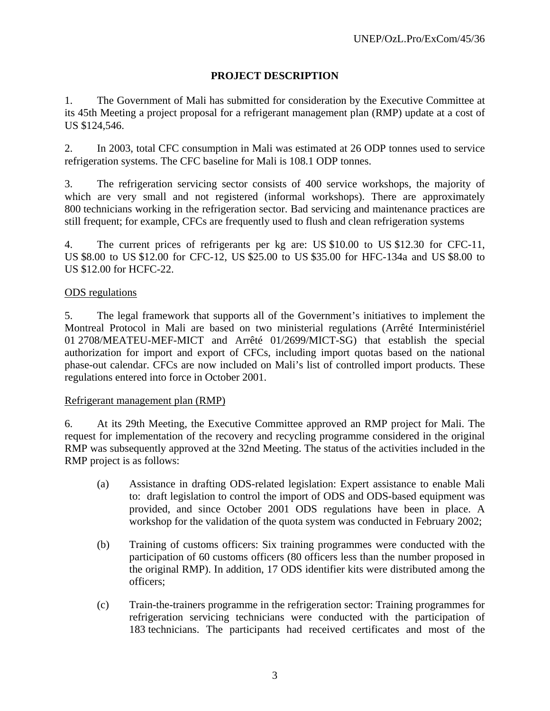# **PROJECT DESCRIPTION**

1. The Government of Mali has submitted for consideration by the Executive Committee at its 45th Meeting a project proposal for a refrigerant management plan (RMP) update at a cost of US \$124,546.

2. In 2003, total CFC consumption in Mali was estimated at 26 ODP tonnes used to service refrigeration systems. The CFC baseline for Mali is 108.1 ODP tonnes.

3. The refrigeration servicing sector consists of 400 service workshops, the majority of which are very small and not registered (informal workshops). There are approximately 800 technicians working in the refrigeration sector. Bad servicing and maintenance practices are still frequent; for example, CFCs are frequently used to flush and clean refrigeration systems

4. The current prices of refrigerants per kg are: US \$10.00 to US \$12.30 for CFC-11, US \$8.00 to US \$12.00 for CFC-12, US \$25.00 to US \$35.00 for HFC-134a and US \$8.00 to US \$12.00 for HCFC-22.

# ODS regulations

5. The legal framework that supports all of the Government's initiatives to implement the Montreal Protocol in Mali are based on two ministerial regulations (Arrêté Interministériel 01 2708/MEATEU-MEF-MICT and Arrêté 01/2699/MICT-SG) that establish the special authorization for import and export of CFCs, including import quotas based on the national phase-out calendar. CFCs are now included on Mali's list of controlled import products. These regulations entered into force in October 2001.

## Refrigerant management plan (RMP)

6. At its 29th Meeting, the Executive Committee approved an RMP project for Mali. The request for implementation of the recovery and recycling programme considered in the original RMP was subsequently approved at the 32nd Meeting. The status of the activities included in the RMP project is as follows:

- (a) Assistance in drafting ODS-related legislation: Expert assistance to enable Mali to: draft legislation to control the import of ODS and ODS-based equipment was provided, and since October 2001 ODS regulations have been in place. A workshop for the validation of the quota system was conducted in February 2002;
- (b) Training of customs officers: Six training programmes were conducted with the participation of 60 customs officers (80 officers less than the number proposed in the original RMP). In addition, 17 ODS identifier kits were distributed among the officers;
- (c) Train-the-trainers programme in the refrigeration sector: Training programmes for refrigeration servicing technicians were conducted with the participation of 183 technicians. The participants had received certificates and most of the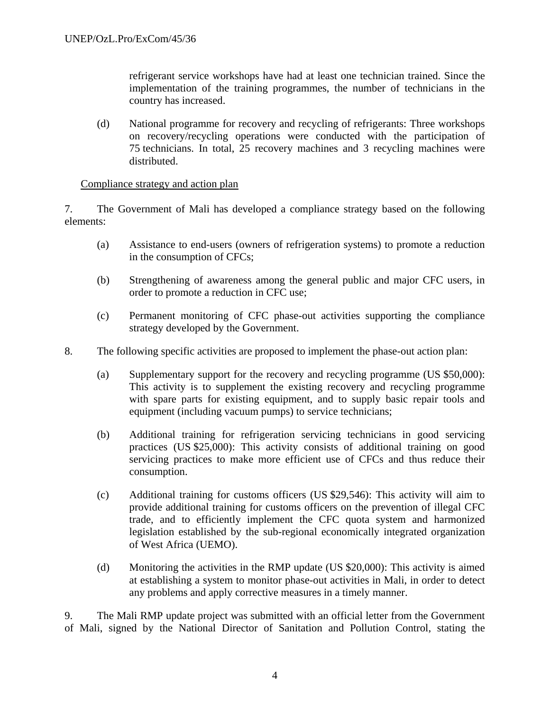refrigerant service workshops have had at least one technician trained. Since the implementation of the training programmes, the number of technicians in the country has increased.

(d) National programme for recovery and recycling of refrigerants: Three workshops on recovery/recycling operations were conducted with the participation of 75 technicians. In total, 25 recovery machines and 3 recycling machines were distributed.

## Compliance strategy and action plan

7. The Government of Mali has developed a compliance strategy based on the following elements:

- (a) Assistance to end-users (owners of refrigeration systems) to promote a reduction in the consumption of CFCs;
- (b) Strengthening of awareness among the general public and major CFC users, in order to promote a reduction in CFC use;
- (c) Permanent monitoring of CFC phase-out activities supporting the compliance strategy developed by the Government.
- 8. The following specific activities are proposed to implement the phase-out action plan:
	- (a) Supplementary support for the recovery and recycling programme (US \$50,000): This activity is to supplement the existing recovery and recycling programme with spare parts for existing equipment, and to supply basic repair tools and equipment (including vacuum pumps) to service technicians;
	- (b) Additional training for refrigeration servicing technicians in good servicing practices (US \$25,000): This activity consists of additional training on good servicing practices to make more efficient use of CFCs and thus reduce their consumption.
	- (c) Additional training for customs officers (US \$29,546): This activity will aim to provide additional training for customs officers on the prevention of illegal CFC trade, and to efficiently implement the CFC quota system and harmonized legislation established by the sub-regional economically integrated organization of West Africa (UEMO).
	- (d) Monitoring the activities in the RMP update (US \$20,000): This activity is aimed at establishing a system to monitor phase-out activities in Mali, in order to detect any problems and apply corrective measures in a timely manner.

9. The Mali RMP update project was submitted with an official letter from the Government of Mali, signed by the National Director of Sanitation and Pollution Control, stating the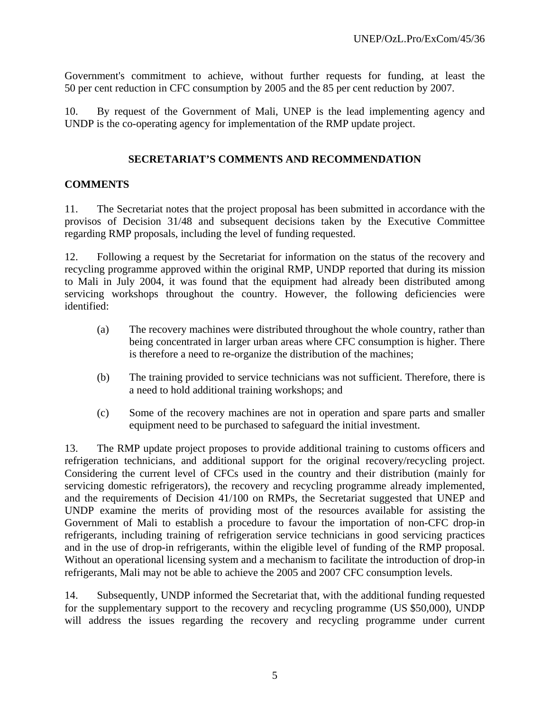Government's commitment to achieve, without further requests for funding, at least the 50 per cent reduction in CFC consumption by 2005 and the 85 per cent reduction by 2007.

10. By request of the Government of Mali, UNEP is the lead implementing agency and UNDP is the co-operating agency for implementation of the RMP update project.

# **SECRETARIAT'S COMMENTS AND RECOMMENDATION**

## **COMMENTS**

11. The Secretariat notes that the project proposal has been submitted in accordance with the provisos of Decision 31/48 and subsequent decisions taken by the Executive Committee regarding RMP proposals, including the level of funding requested.

12. Following a request by the Secretariat for information on the status of the recovery and recycling programme approved within the original RMP, UNDP reported that during its mission to Mali in July 2004, it was found that the equipment had already been distributed among servicing workshops throughout the country. However, the following deficiencies were identified:

- (a) The recovery machines were distributed throughout the whole country, rather than being concentrated in larger urban areas where CFC consumption is higher. There is therefore a need to re-organize the distribution of the machines;
- (b) The training provided to service technicians was not sufficient. Therefore, there is a need to hold additional training workshops; and
- (c) Some of the recovery machines are not in operation and spare parts and smaller equipment need to be purchased to safeguard the initial investment.

13. The RMP update project proposes to provide additional training to customs officers and refrigeration technicians, and additional support for the original recovery/recycling project. Considering the current level of CFCs used in the country and their distribution (mainly for servicing domestic refrigerators), the recovery and recycling programme already implemented, and the requirements of Decision 41/100 on RMPs, the Secretariat suggested that UNEP and UNDP examine the merits of providing most of the resources available for assisting the Government of Mali to establish a procedure to favour the importation of non-CFC drop-in refrigerants, including training of refrigeration service technicians in good servicing practices and in the use of drop-in refrigerants, within the eligible level of funding of the RMP proposal. Without an operational licensing system and a mechanism to facilitate the introduction of drop-in refrigerants, Mali may not be able to achieve the 2005 and 2007 CFC consumption levels.

14. Subsequently, UNDP informed the Secretariat that, with the additional funding requested for the supplementary support to the recovery and recycling programme (US \$50,000), UNDP will address the issues regarding the recovery and recycling programme under current